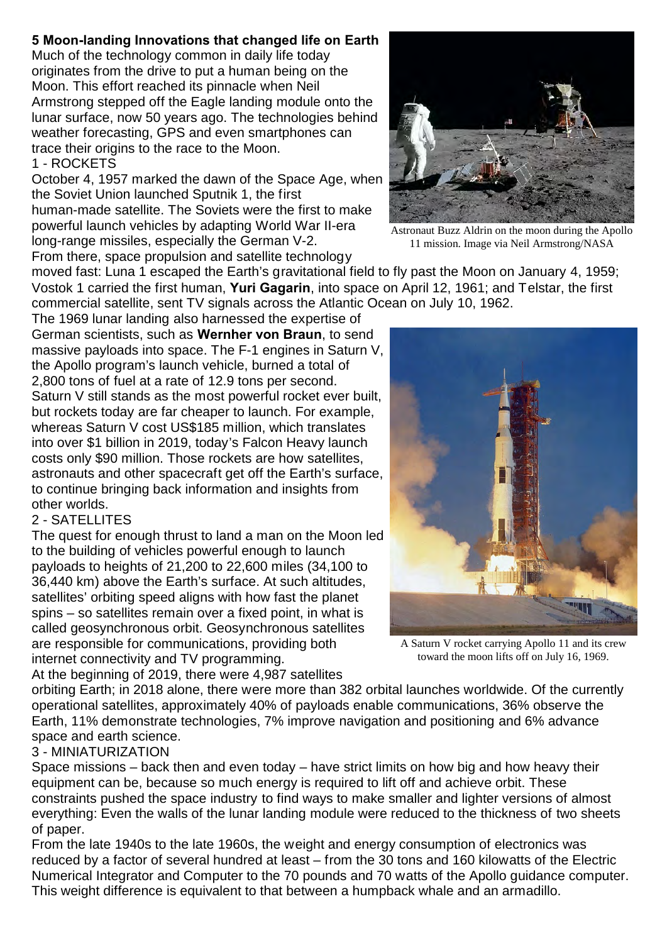## **5 Moon-landing Innovations that changed life on Earth**

Much of the technology common in daily life today originates from the drive to put a human being on the Moon. This effort reached its pinnacle when Neil Armstrong stepped off the Eagle landing module onto the lunar surface, now 50 years ago. The technologies behind weather forecasting, GPS and even smartphones can trace their origins to the race to the Moon. 1 - ROCKETS

October 4, 1957 marked the dawn of the Space Age, when the Soviet Union launched Sputnik 1, the first human-made satellite. The Soviets were the first to make powerful launch vehicles by adapting World War II-era long-range missiles, especially the German V-2. From there, space propulsion and satellite technology

moved fast: Luna 1 escaped the Earth's gravitational field to fly past the Moon on January 4, 1959; Vostok 1 carried the first human, **Yuri Gagarin**, into space on April 12, 1961; and Telstar, the first commercial satellite, sent TV signals across the Atlantic Ocean on July 10, 1962.

The 1969 lunar landing also harnessed the expertise of German scientists, such as **Wernher von Braun**, to send massive payloads into space. The F-1 engines in Saturn V, the Apollo program's launch vehicle, burned a total of 2,800 tons of fuel at a rate of 12.9 tons per second. Saturn V still stands as the most powerful rocket ever built, but rockets today are far cheaper to launch. For example, whereas Saturn V cost US\$185 million, which translates into over \$1 billion in 2019, today's Falcon Heavy launch costs only \$90 million. Those rockets are how satellites, astronauts and other spacecraft get off the Earth's surface, to continue bringing back information and insights from other worlds.

## 2 - SATELLITES

The quest for enough thrust to land a man on the Moon led to the building of vehicles powerful enough to launch payloads to heights of 21,200 to 22,600 miles (34,100 to 36,440 km) above the Earth's surface. At such altitudes, satellites' orbiting speed aligns with how fast the planet spins – so satellites remain over a fixed point, in what is called geosynchronous orbit. Geosynchronous satellites are responsible for communications, providing both internet connectivity and TV programming.

At the beginning of 2019, there were 4,987 satellites

A Saturn V rocket carrying Apollo 11 and its crew toward the moon lifts off on July 16, 1969.

orbiting Earth; in 2018 alone, there were more than 382 orbital launches worldwide. Of the currently operational satellites, approximately 40% of payloads enable communications, 36% observe the Earth, 11% demonstrate technologies, 7% improve navigation and positioning and 6% advance space and earth science.

## 3 - MINIATURIZATION

Space missions – back then and even today – have strict limits on how big and how heavy their equipment can be, because so much energy is required to lift off and achieve orbit. These constraints pushed the space industry to find ways to make smaller and lighter versions of almost everything: Even the walls of the lunar landing module were reduced to the thickness of two sheets of paper.

From the late 1940s to the late 1960s, the weight and energy consumption of electronics was reduced by a factor of several hundred at least – from the 30 tons and 160 kilowatts of the Electric Numerical Integrator and Computer to the 70 pounds and 70 watts of the Apollo guidance computer. This weight difference is equivalent to that between a humpback whale and an armadillo.

Astronaut Buzz Aldrin on the moon during the Apollo 11 mission. Image via Neil Armstrong/NASA